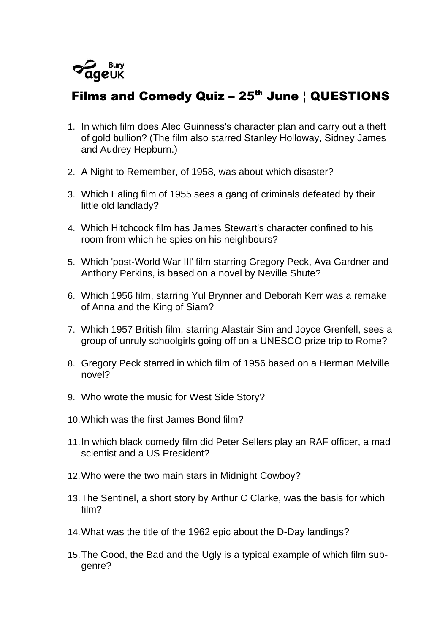

## Films and Comedy Quiz  $-25$ <sup>th</sup> June  $\frac{1}{2}$  QUESTIONS

- 1. In which film does Alec Guinness's character plan and carry out a theft of gold bullion? (The film also starred Stanley Holloway, Sidney James and Audrey Hepburn.)
- 2. A Night to Remember, of 1958, was about which disaster?
- 3. Which Ealing film of 1955 sees a gang of criminals defeated by their little old landlady?
- 4. Which Hitchcock film has James Stewart's character confined to his room from which he spies on his neighbours?
- 5. Which 'post-World War IIl' film starring Gregory Peck, Ava Gardner and Anthony Perkins, is based on a novel by Neville Shute?
- 6. Which 1956 film, starring Yul Brynner and Deborah Kerr was a remake of Anna and the King of Siam?
- 7. Which 1957 British film, starring Alastair Sim and Joyce Grenfell, sees a group of unruly schoolgirls going off on a UNESCO prize trip to Rome?
- 8. Gregory Peck starred in which film of 1956 based on a Herman Melville novel?
- 9. Who wrote the music for West Side Story?
- 10.Which was the first James Bond film?
- 11.In which black comedy film did Peter Sellers play an RAF officer, a mad scientist and a US President?
- 12.Who were the two main stars in Midnight Cowboy?
- 13.The Sentinel, a short story by Arthur C Clarke, was the basis for which film?
- 14.What was the title of the 1962 epic about the D-Day landings?
- 15.The Good, the Bad and the Ugly is a typical example of which film subgenre?